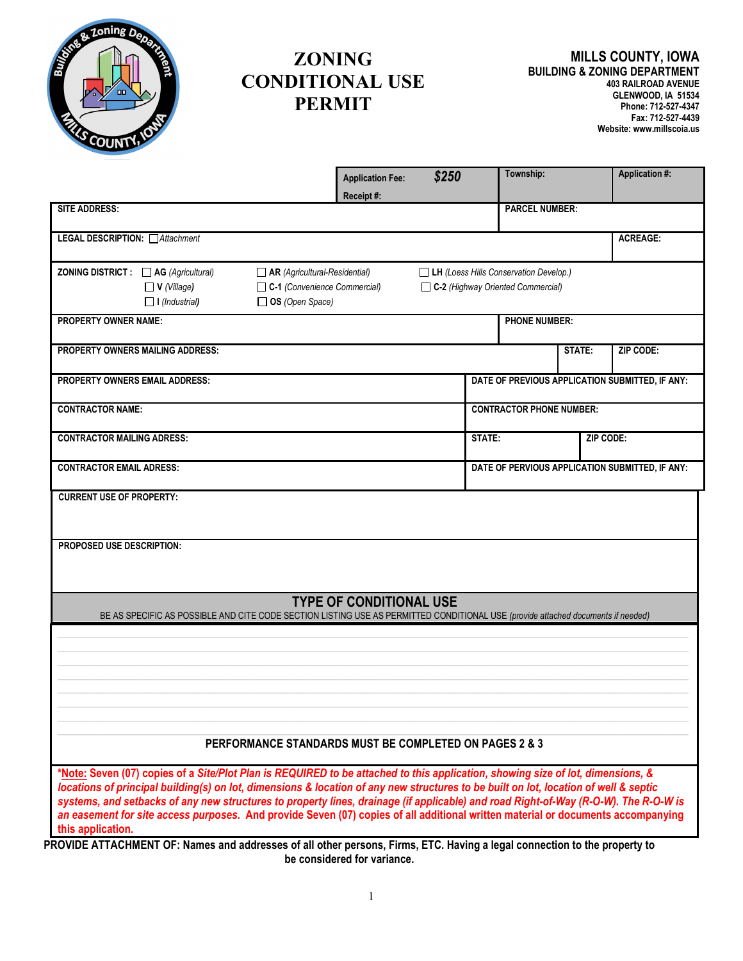

## **ZONING CONDITIONAL USE PERMIT**

|                                                                                                                                                                                                                                                                                                                                                                                                                                                                                                                                                                                                                                                                                                      | <b>Application Fee:</b>        | \$250 | Township:                                                                   |        | <b>Application #:</b> |  |
|------------------------------------------------------------------------------------------------------------------------------------------------------------------------------------------------------------------------------------------------------------------------------------------------------------------------------------------------------------------------------------------------------------------------------------------------------------------------------------------------------------------------------------------------------------------------------------------------------------------------------------------------------------------------------------------------------|--------------------------------|-------|-----------------------------------------------------------------------------|--------|-----------------------|--|
| <b>SITE ADDRESS:</b>                                                                                                                                                                                                                                                                                                                                                                                                                                                                                                                                                                                                                                                                                 | Receipt#:                      |       | <b>PARCEL NUMBER:</b>                                                       |        |                       |  |
| LEGAL DESCRIPTION: Attachment                                                                                                                                                                                                                                                                                                                                                                                                                                                                                                                                                                                                                                                                        |                                |       |                                                                             |        | <b>ACREAGE:</b>       |  |
| ZONING DISTRICT : □ AG (Agricultural)<br>$\Box$ AR (Agricultural-Residential)<br>$\Box$ V (Village)<br>C-1 (Convenience Commercial)<br>□ OS (Open Space)<br>$\Box$ I (Industrial)                                                                                                                                                                                                                                                                                                                                                                                                                                                                                                                    |                                |       | LH (Loess Hills Conservation Develop.)<br>C-2 (Highway Oriented Commercial) |        |                       |  |
| <b>PROPERTY OWNER NAME:</b>                                                                                                                                                                                                                                                                                                                                                                                                                                                                                                                                                                                                                                                                          |                                |       | <b>PHONE NUMBER:</b>                                                        |        |                       |  |
| <b>PROPERTY OWNERS MAILING ADDRESS:</b>                                                                                                                                                                                                                                                                                                                                                                                                                                                                                                                                                                                                                                                              |                                |       |                                                                             | STATE: | ZIP CODE:             |  |
| PROPERTY OWNERS EMAIL ADDRESS:                                                                                                                                                                                                                                                                                                                                                                                                                                                                                                                                                                                                                                                                       |                                |       | DATE OF PREVIOUS APPLICATION SUBMITTED, IF ANY:                             |        |                       |  |
| <b>CONTRACTOR NAME:</b>                                                                                                                                                                                                                                                                                                                                                                                                                                                                                                                                                                                                                                                                              |                                |       | <b>CONTRACTOR PHONE NUMBER:</b>                                             |        |                       |  |
| <b>CONTRACTOR MAILING ADRESS:</b>                                                                                                                                                                                                                                                                                                                                                                                                                                                                                                                                                                                                                                                                    |                                |       | STATE:                                                                      |        | ZIP CODE:             |  |
| <b>CONTRACTOR EMAIL ADRESS:</b>                                                                                                                                                                                                                                                                                                                                                                                                                                                                                                                                                                                                                                                                      |                                |       | DATE OF PERVIOUS APPLICATION SUBMITTED, IF ANY:                             |        |                       |  |
| <b>PROPOSED USE DESCRIPTION:</b>                                                                                                                                                                                                                                                                                                                                                                                                                                                                                                                                                                                                                                                                     |                                |       |                                                                             |        |                       |  |
| BE AS SPECIFIC AS POSSIBLE AND CITE CODE SECTION LISTING USE AS PERMITTED CONDITIONAL USE (provide attached documents if needed)                                                                                                                                                                                                                                                                                                                                                                                                                                                                                                                                                                     | <b>TYPE OF CONDITIONAL USE</b> |       |                                                                             |        |                       |  |
| PERFORMANCE STANDARDS MUST BE COMPLETED ON PAGES 2 & 3                                                                                                                                                                                                                                                                                                                                                                                                                                                                                                                                                                                                                                               |                                |       |                                                                             |        |                       |  |
| *Note: Seven (07) copies of a Site/Plot Plan is REQUIRED to be attached to this application, showing size of lot, dimensions, &<br>locations of principal building(s) on lot, dimensions & location of any new structures to be built on lot, location of well & septic<br>systems, and setbacks of any new structures to property lines, drainage (if applicable) and road Right-of-Way (R-O-W). The R-O-W is<br>an easement for site access purposes. And provide Seven (07) copies of all additional written material or documents accompanying<br>this application.<br>PROVIDE ATTACHMENT OF: Names and addresses of all other persons. Firms, FTC, Having a legal connection to the property to |                                |       |                                                                             |        |                       |  |

**PROVIDE ATTACHMENT OF: Names and addresses of all other persons, Firms, ETC. Having a legal connection to the property to be considered for variance.**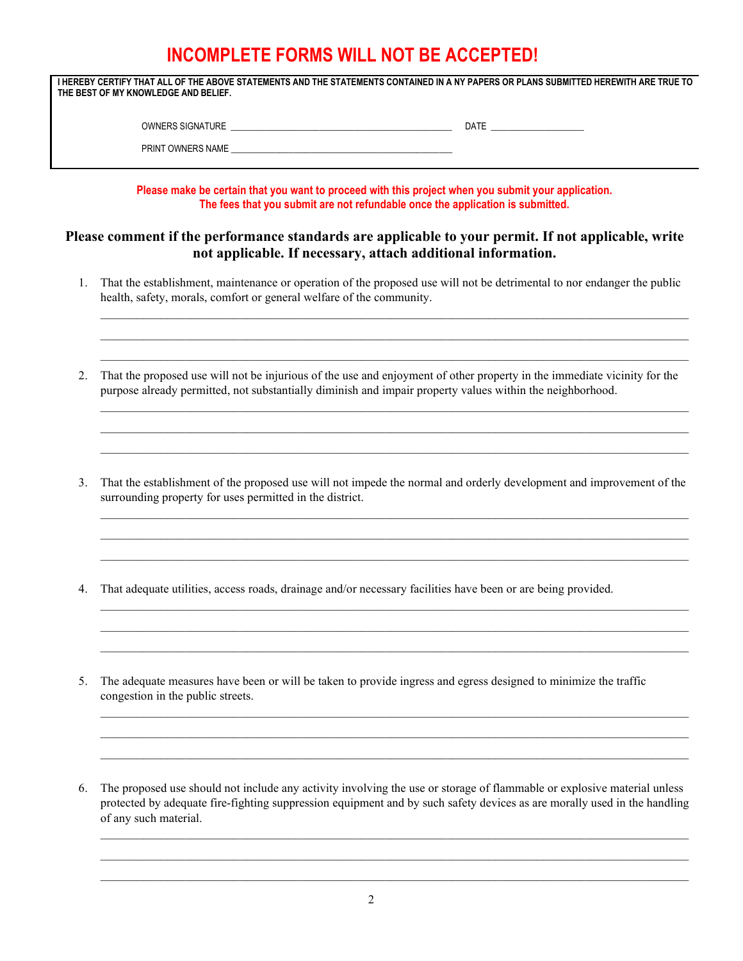## **INCOMPLETE FORMS WILL NOT BE ACCEPTED!**

**I HEREBY CERTIFY THAT ALL OF THE ABOVE STATEMENTS AND THE STATEMENTS CONTAINED IN A NY PAPERS OR PLANS SUBMITTED HEREWITH ARE TRUE TO THE BEST OF MY KNOWLEDGE AND BELIEF.**

| <b>TURE</b><br><b>OWNL</b><br>הר<br>$\cdots$<br>NGNA.<br>טח | <b>DATE</b> |  |
|-------------------------------------------------------------|-------------|--|
|                                                             |             |  |

PRINT OWNERS NAME

**Please make be certain that you want to proceed with this project when you submit your application. The fees that you submit are not refundable once the application is submitted.**

## **Please comment if the performance standards are applicable to your permit. If not applicable, write not applicable. If necessary, attach additional information.**

1. That the establishment, maintenance or operation of the proposed use will not be detrimental to nor endanger the public health, safety, morals, comfort or general welfare of the community.

\_\_\_\_\_\_\_\_\_\_\_\_\_\_\_\_\_\_\_\_\_\_\_\_\_\_\_\_\_\_\_\_\_\_\_\_\_\_\_\_\_\_\_\_\_\_\_\_\_\_\_\_\_\_\_\_\_\_\_\_\_\_\_\_\_\_\_\_\_\_\_\_\_\_\_\_\_\_\_\_\_\_\_\_\_\_\_\_\_\_\_\_\_\_\_\_\_ \_\_\_\_\_\_\_\_\_\_\_\_\_\_\_\_\_\_\_\_\_\_\_\_\_\_\_\_\_\_\_\_\_\_\_\_\_\_\_\_\_\_\_\_\_\_\_\_\_\_\_\_\_\_\_\_\_\_\_\_\_\_\_\_\_\_\_\_\_\_\_\_\_\_\_\_\_\_\_\_\_\_\_\_\_\_\_\_\_\_\_\_\_\_\_\_\_ \_\_\_\_\_\_\_\_\_\_\_\_\_\_\_\_\_\_\_\_\_\_\_\_\_\_\_\_\_\_\_\_\_\_\_\_\_\_\_\_\_\_\_\_\_\_\_\_\_\_\_\_\_\_\_\_\_\_\_\_\_\_\_\_\_\_\_\_\_\_\_\_\_\_\_\_\_\_\_\_\_\_\_\_\_\_\_\_\_\_\_\_\_\_\_\_\_

\_\_\_\_\_\_\_\_\_\_\_\_\_\_\_\_\_\_\_\_\_\_\_\_\_\_\_\_\_\_\_\_\_\_\_\_\_\_\_\_\_\_\_\_\_\_\_\_\_\_\_\_\_\_\_\_\_\_\_\_\_\_\_\_\_\_\_\_\_\_\_\_\_\_\_\_\_\_\_\_\_\_\_\_\_\_\_\_\_\_\_\_\_\_\_\_\_ \_\_\_\_\_\_\_\_\_\_\_\_\_\_\_\_\_\_\_\_\_\_\_\_\_\_\_\_\_\_\_\_\_\_\_\_\_\_\_\_\_\_\_\_\_\_\_\_\_\_\_\_\_\_\_\_\_\_\_\_\_\_\_\_\_\_\_\_\_\_\_\_\_\_\_\_\_\_\_\_\_\_\_\_\_\_\_\_\_\_\_\_\_\_\_\_\_ \_\_\_\_\_\_\_\_\_\_\_\_\_\_\_\_\_\_\_\_\_\_\_\_\_\_\_\_\_\_\_\_\_\_\_\_\_\_\_\_\_\_\_\_\_\_\_\_\_\_\_\_\_\_\_\_\_\_\_\_\_\_\_\_\_\_\_\_\_\_\_\_\_\_\_\_\_\_\_\_\_\_\_\_\_\_\_\_\_\_\_\_\_\_\_\_\_

- 2. That the proposed use will not be injurious of the use and enjoyment of other property in the immediate vicinity for the purpose already permitted, not substantially diminish and impair property values within the neighborhood.
- 3. That the establishment of the proposed use will not impede the normal and orderly development and improvement of the surrounding property for uses permitted in the district.

\_\_\_\_\_\_\_\_\_\_\_\_\_\_\_\_\_\_\_\_\_\_\_\_\_\_\_\_\_\_\_\_\_\_\_\_\_\_\_\_\_\_\_\_\_\_\_\_\_\_\_\_\_\_\_\_\_\_\_\_\_\_\_\_\_\_\_\_\_\_\_\_\_\_\_\_\_\_\_\_\_\_\_\_\_\_\_\_\_\_\_\_\_\_\_\_\_ \_\_\_\_\_\_\_\_\_\_\_\_\_\_\_\_\_\_\_\_\_\_\_\_\_\_\_\_\_\_\_\_\_\_\_\_\_\_\_\_\_\_\_\_\_\_\_\_\_\_\_\_\_\_\_\_\_\_\_\_\_\_\_\_\_\_\_\_\_\_\_\_\_\_\_\_\_\_\_\_\_\_\_\_\_\_\_\_\_\_\_\_\_\_\_\_\_ \_\_\_\_\_\_\_\_\_\_\_\_\_\_\_\_\_\_\_\_\_\_\_\_\_\_\_\_\_\_\_\_\_\_\_\_\_\_\_\_\_\_\_\_\_\_\_\_\_\_\_\_\_\_\_\_\_\_\_\_\_\_\_\_\_\_\_\_\_\_\_\_\_\_\_\_\_\_\_\_\_\_\_\_\_\_\_\_\_\_\_\_\_\_\_\_\_

\_\_\_\_\_\_\_\_\_\_\_\_\_\_\_\_\_\_\_\_\_\_\_\_\_\_\_\_\_\_\_\_\_\_\_\_\_\_\_\_\_\_\_\_\_\_\_\_\_\_\_\_\_\_\_\_\_\_\_\_\_\_\_\_\_\_\_\_\_\_\_\_\_\_\_\_\_\_\_\_\_\_\_\_\_\_\_\_\_\_\_\_\_\_\_\_\_ \_\_\_\_\_\_\_\_\_\_\_\_\_\_\_\_\_\_\_\_\_\_\_\_\_\_\_\_\_\_\_\_\_\_\_\_\_\_\_\_\_\_\_\_\_\_\_\_\_\_\_\_\_\_\_\_\_\_\_\_\_\_\_\_\_\_\_\_\_\_\_\_\_\_\_\_\_\_\_\_\_\_\_\_\_\_\_\_\_\_\_\_\_\_\_\_\_  $\_$  , and the state of the state of the state of the state of the state of the state of the state of the state of the state of the state of the state of the state of the state of the state of the state of the state of the

 $\_$  , and the state of the state of the state of the state of the state of the state of the state of the state of the state of the state of the state of the state of the state of the state of the state of the state of the  $\_$  , and the state of the state of the state of the state of the state of the state of the state of the state of the state of the state of the state of the state of the state of the state of the state of the state of the  $\_$  , and the state of the state of the state of the state of the state of the state of the state of the state of the state of the state of the state of the state of the state of the state of the state of the state of the

- 4. That adequate utilities, access roads, drainage and/or necessary facilities have been or are being provided.
- 5. The adequate measures have been or will be taken to provide ingress and egress designed to minimize the traffic congestion in the public streets.
- 6. The proposed use should not include any activity involving the use or storage of flammable or explosive material unless protected by adequate fire-fighting suppression equipment and by such safety devices as are morally used in the handling of any such material.

 $\_$  , and the state of the state of the state of the state of the state of the state of the state of the state of the state of the state of the state of the state of the state of the state of the state of the state of the  $\_$  , and the state of the state of the state of the state of the state of the state of the state of the state of the state of the state of the state of the state of the state of the state of the state of the state of the  $\_$  , and the state of the state of the state of the state of the state of the state of the state of the state of the state of the state of the state of the state of the state of the state of the state of the state of the